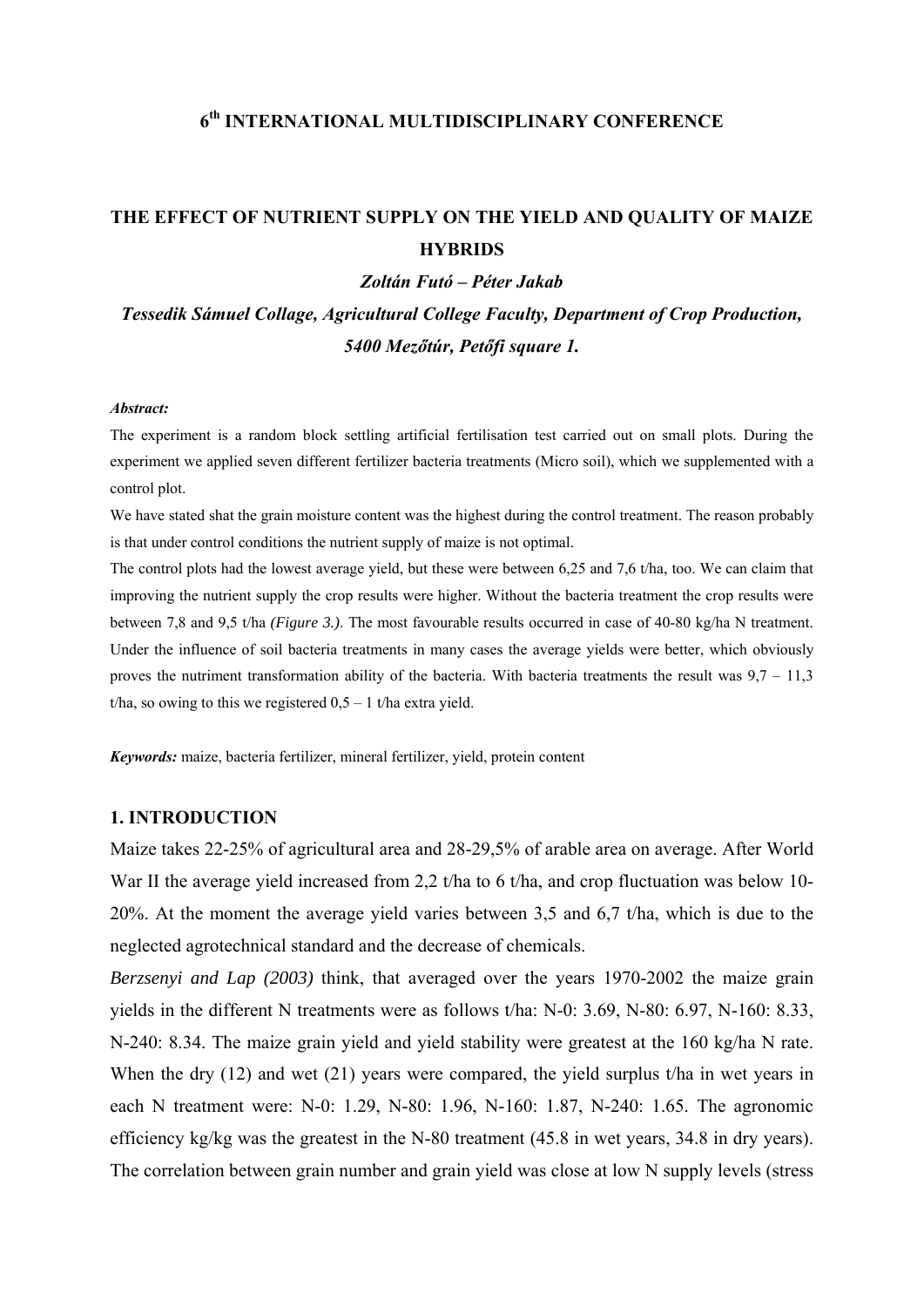### **6th INTERNATIONAL MULTIDISCIPLINARY CONFERENCE**

# **THE EFFECT OF NUTRIENT SUPPLY ON THE YIELD AND QUALITY OF MAIZE HYBRIDS**

#### *Zoltán Futó – Péter Jakab*

*Tessedik Sámuel Collage, Agricultural College Faculty, Department of Crop Production, 5400 Mezőtúr, Petőfi square 1.* 

#### *Abstract:*

The experiment is a random block settling artificial fertilisation test carried out on small plots. During the experiment we applied seven different fertilizer bacteria treatments (Micro soil), which we supplemented with a control plot.

We have stated shat the grain moisture content was the highest during the control treatment. The reason probably is that under control conditions the nutrient supply of maize is not optimal.

The control plots had the lowest average yield, but these were between 6,25 and 7,6 t/ha, too. We can claim that improving the nutrient supply the crop results were higher. Without the bacteria treatment the crop results were between 7,8 and 9,5 t/ha *(Figure 3.)*. The most favourable results occurred in case of 40-80 kg/ha N treatment. Under the influence of soil bacteria treatments in many cases the average yields were better, which obviously proves the nutriment transformation ability of the bacteria. With bacteria treatments the result was  $9.7 - 11.3$ t/ha, so owing to this we registered  $0.5 - 1$  t/ha extra yield.

*Keywords:* maize, bacteria fertilizer, mineral fertilizer, yield, protein content

#### **1. INTRODUCTION**

Maize takes 22-25% of agricultural area and 28-29,5% of arable area on average. After World War II the average yield increased from 2,2 t/ha to 6 t/ha, and crop fluctuation was below 10-20%. At the moment the average yield varies between 3,5 and 6,7 t/ha, which is due to the neglected agrotechnical standard and the decrease of chemicals.

*Berzsenyi and Lap (2003)* think, that averaged over the years 1970-2002 the maize grain yields in the different N treatments were as follows t/ha: N-0: 3.69, N-80: 6.97, N-160: 8.33, N-240: 8.34. The maize grain yield and yield stability were greatest at the 160 kg/ha N rate. When the dry (12) and wet (21) years were compared, the yield surplus t/ha in wet years in each N treatment were: N-0: 1.29, N-80: 1.96, N-160: 1.87, N-240: 1.65. The agronomic efficiency kg/kg was the greatest in the N-80 treatment (45.8 in wet years, 34.8 in dry years). The correlation between grain number and grain yield was close at low N supply levels (stress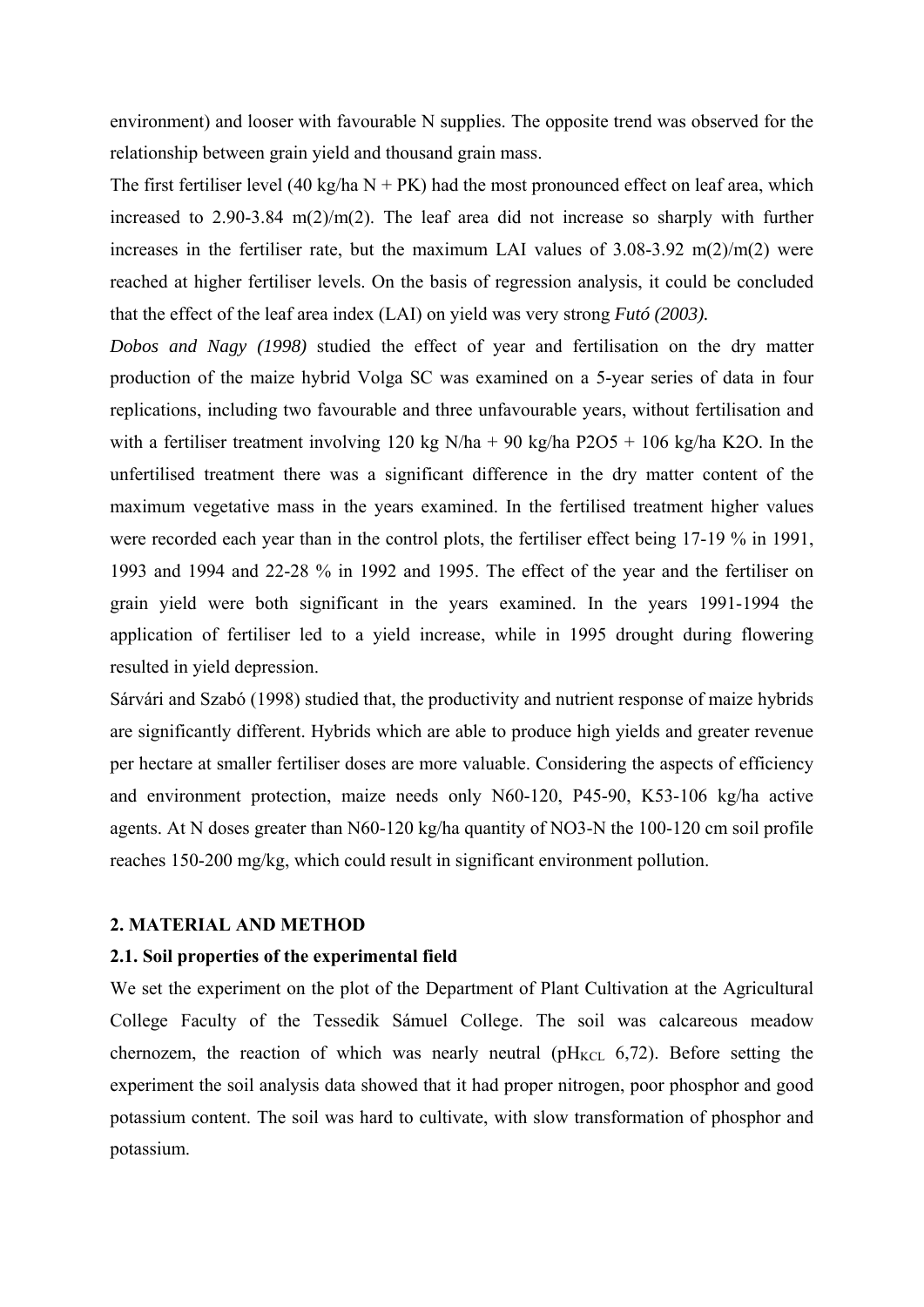environment) and looser with favourable N supplies. The opposite trend was observed for the relationship between grain yield and thousand grain mass.

The first fertiliser level (40 kg/ha  $N + PK$ ) had the most pronounced effect on leaf area, which increased to  $2.90-3.84 \text{ m}(2)/\text{m}(2)$ . The leaf area did not increase so sharply with further increases in the fertiliser rate, but the maximum LAI values of  $3.08-3.92$  m( $2/m(2)$  were reached at higher fertiliser levels. On the basis of regression analysis, it could be concluded that the effect of the leaf area index (LAI) on yield was very strong *Futó (2003).*

*Dobos and Nagy (1998)* studied the effect of year and fertilisation on the dry matter production of the maize hybrid Volga SC was examined on a 5-year series of data in four replications, including two favourable and three unfavourable years, without fertilisation and with a fertiliser treatment involving 120 kg N/ha + 90 kg/ha P2O5 + 106 kg/ha K2O. In the unfertilised treatment there was a significant difference in the dry matter content of the maximum vegetative mass in the years examined. In the fertilised treatment higher values were recorded each year than in the control plots, the fertiliser effect being 17-19 % in 1991, 1993 and 1994 and 22-28 % in 1992 and 1995. The effect of the year and the fertiliser on grain yield were both significant in the years examined. In the years 1991-1994 the application of fertiliser led to a yield increase, while in 1995 drought during flowering resulted in yield depression.

Sárvári and Szabó (1998) studied that, the productivity and nutrient response of maize hybrids are significantly different. Hybrids which are able to produce high yields and greater revenue per hectare at smaller fertiliser doses are more valuable. Considering the aspects of efficiency and environment protection, maize needs only N60-120, P45-90, K53-106 kg/ha active agents. At N doses greater than N60-120 kg/ha quantity of NO3-N the 100-120 cm soil profile reaches 150-200 mg/kg, which could result in significant environment pollution.

#### **2. MATERIAL AND METHOD**

#### **2.1. Soil properties of the experimental field**

We set the experiment on the plot of the Department of Plant Cultivation at the Agricultural College Faculty of the Tessedik Sámuel College. The soil was calcareous meadow chernozem, the reaction of which was nearly neutral ( $pH_{KCL}$  6,72). Before setting the experiment the soil analysis data showed that it had proper nitrogen, poor phosphor and good potassium content. The soil was hard to cultivate, with slow transformation of phosphor and potassium.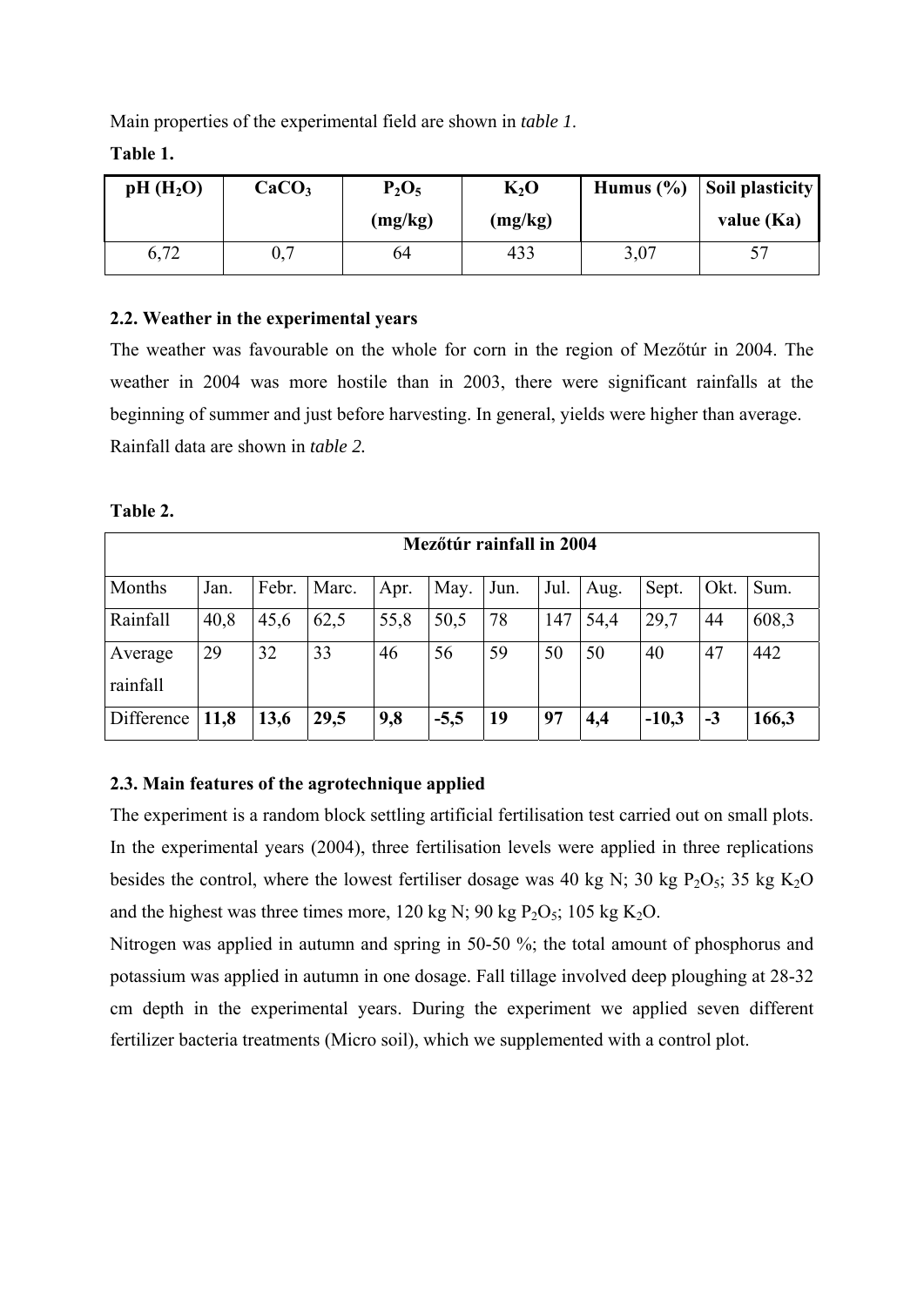Main properties of the experimental field are shown in *table 1*.

| pH(H <sub>2</sub> O) | CaCO <sub>3</sub> | $P_2O_5$ | $K_2O$  | Humus $(\% )$ | <b>Soil plasticity</b> |  |
|----------------------|-------------------|----------|---------|---------------|------------------------|--|
|                      |                   | (mg/kg)  | (mg/kg) |               | value $(Ka)$           |  |
| 6,72                 | 0,7               | 64       | 433     | 3,07          |                        |  |

**Table 1.** 

### **2.2. Weather in the experimental years**

The weather was favourable on the whole for corn in the region of Mezőtúr in 2004. The weather in 2004 was more hostile than in 2003, there were significant rainfalls at the beginning of summer and just before harvesting. In general, yields were higher than average. Rainfall data are shown in *table 2.* 

|                     | Mezőtúr rainfall in 2004 |       |       |      |        |      |      |      |         |      |       |
|---------------------|--------------------------|-------|-------|------|--------|------|------|------|---------|------|-------|
| Months              | Jan.                     | Febr. | Marc. | Apr. | May.   | Jun. | Jul. | Aug. | Sept.   | Okt. | Sum.  |
| Rainfall            | 40,8                     | 45,6  | 62,5  | 55,8 | 50,5   | 78   | 147  | 54,4 | 29,7    | 44   | 608,3 |
| Average<br>rainfall | 29                       | 32    | 33    | 46   | 56     | 59   | 50   | 50   | 40      | 47   | 442   |
| Difference          | 11,8                     | 13,6  | 29,5  | 9,8  | $-5,5$ | 19   | 97   | 4,4  | $-10,3$ | $-3$ | 166,3 |

### **2.3. Main features of the agrotechnique applied**

The experiment is a random block settling artificial fertilisation test carried out on small plots. In the experimental years (2004), three fertilisation levels were applied in three replications besides the control, where the lowest fertiliser dosage was 40 kg N; 30 kg  $P_2O_5$ ; 35 kg  $K_2O$ and the highest was three times more, 120 kg N; 90 kg  $P_2O_5$ ; 105 kg K<sub>2</sub>O.

Nitrogen was applied in autumn and spring in 50-50 %; the total amount of phosphorus and potassium was applied in autumn in one dosage. Fall tillage involved deep ploughing at 28-32 cm depth in the experimental years. During the experiment we applied seven different fertilizer bacteria treatments (Micro soil), which we supplemented with a control plot.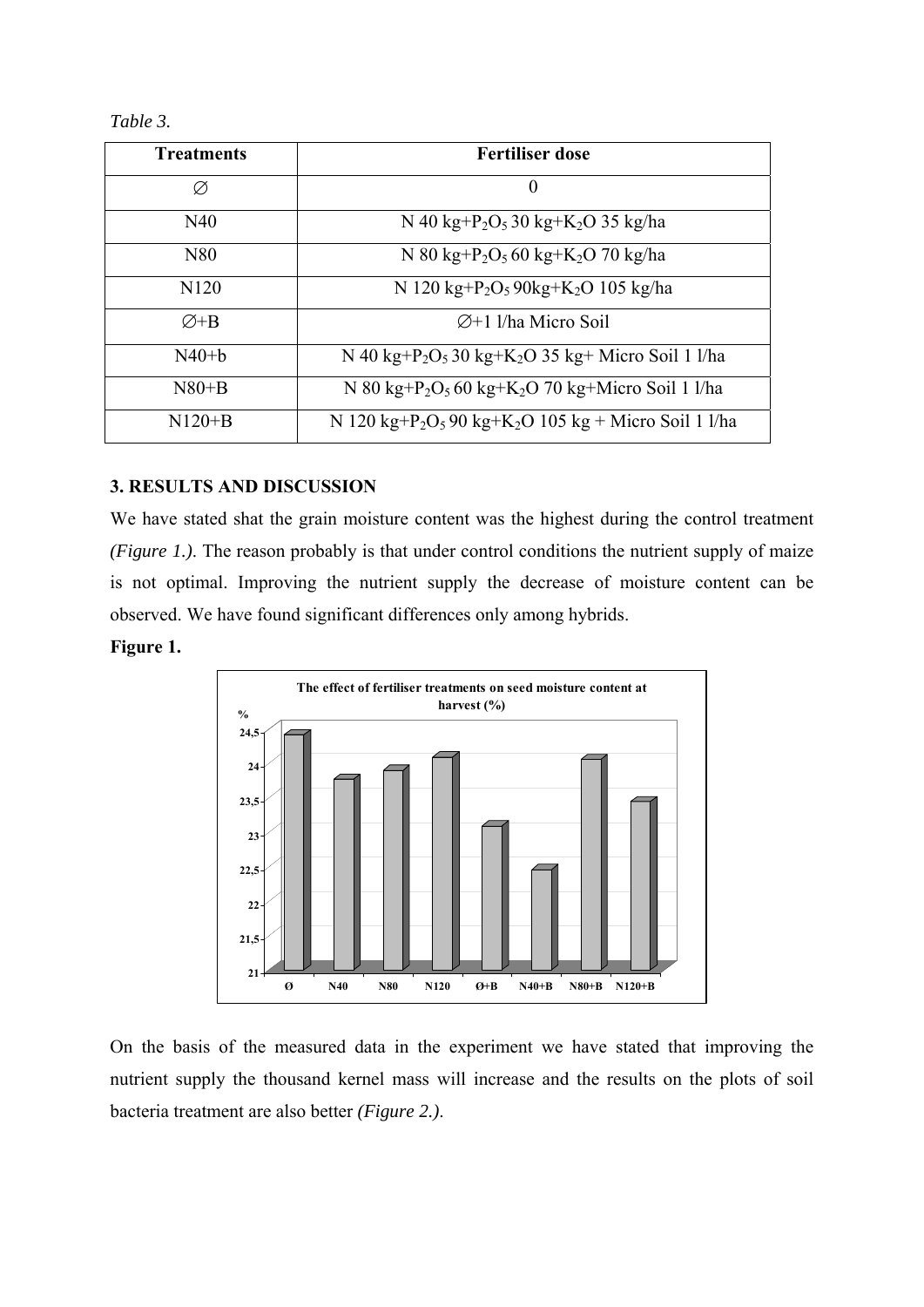| <b>Treatments</b> | <b>Fertiliser dose</b>                                                                   |  |  |  |  |
|-------------------|------------------------------------------------------------------------------------------|--|--|--|--|
| Ø                 | $\boldsymbol{0}$                                                                         |  |  |  |  |
| N40               | N 40 kg+P <sub>2</sub> O <sub>5</sub> 30 kg+K <sub>2</sub> O 35 kg/ha                    |  |  |  |  |
| N80               | N 80 kg+P <sub>2</sub> O <sub>5</sub> 60 kg+K <sub>2</sub> O 70 kg/ha                    |  |  |  |  |
| N <sub>120</sub>  | N 120 kg+P <sub>2</sub> O <sub>5</sub> 90kg+K <sub>2</sub> O 105 kg/ha                   |  |  |  |  |
| $\varnothing$ +B  | $\varnothing$ +1 l/ha Micro Soil                                                         |  |  |  |  |
| $N40+h$           | N 40 kg+P <sub>2</sub> O <sub>5</sub> 30 kg+K <sub>2</sub> O 35 kg+ Micro Soil 1 l/ha    |  |  |  |  |
| $N80+B$           | N 80 kg+P <sub>2</sub> O <sub>5</sub> 60 kg+K <sub>2</sub> O 70 kg+Micro Soil 1 l/ha     |  |  |  |  |
| $N120+B$          | N 120 kg+P <sub>2</sub> O <sub>5</sub> 90 kg+K <sub>2</sub> O 105 kg + Micro Soil 1 l/ha |  |  |  |  |

### **3. RESULTS AND DISCUSSION**

We have stated shat the grain moisture content was the highest during the control treatment *(Figure 1.)*. The reason probably is that under control conditions the nutrient supply of maize is not optimal. Improving the nutrient supply the decrease of moisture content can be observed. We have found significant differences only among hybrids.

**Figure 1.** 



On the basis of the measured data in the experiment we have stated that improving the nutrient supply the thousand kernel mass will increase and the results on the plots of soil bacteria treatment are also better *(Figure 2.)*.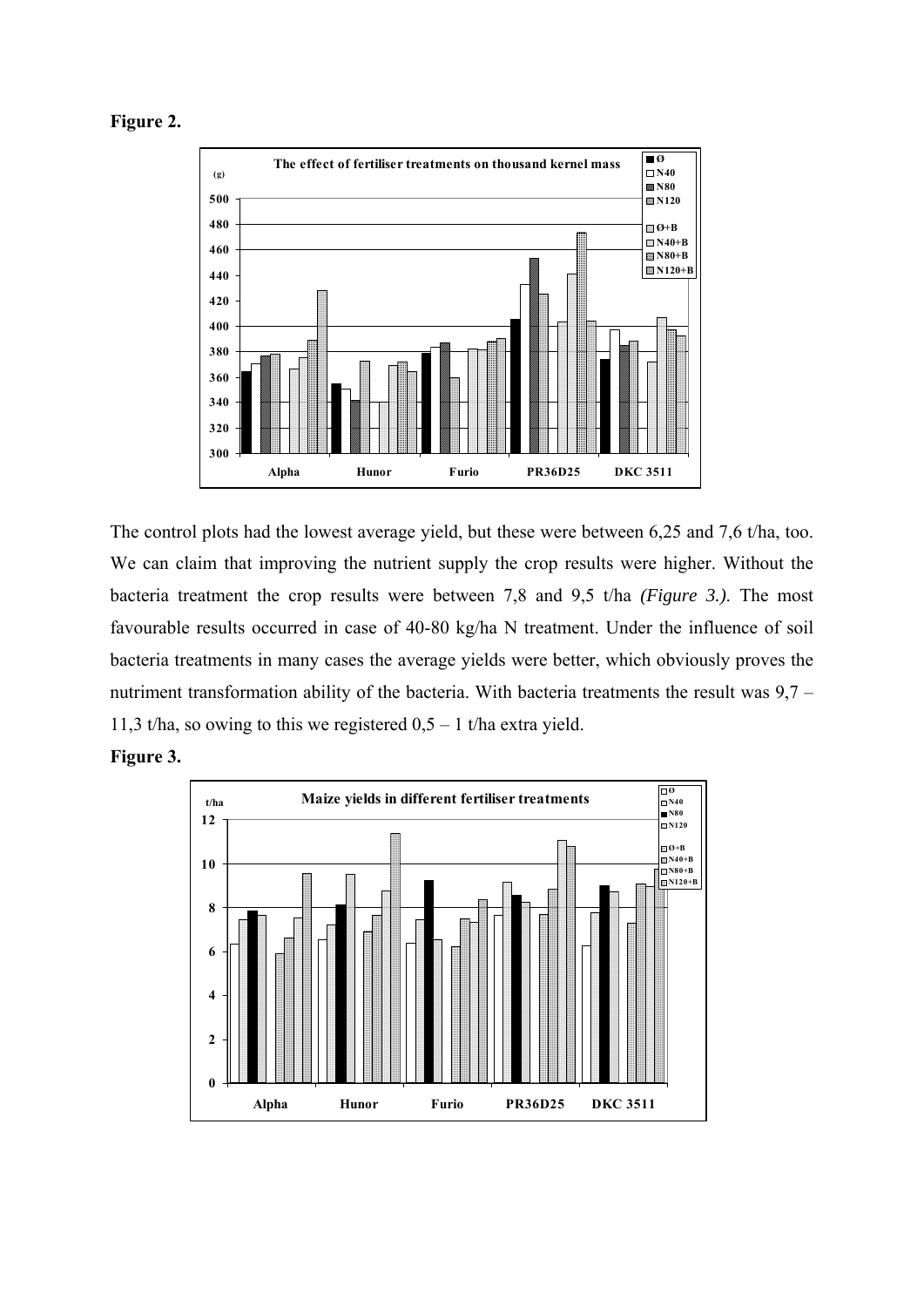



The control plots had the lowest average yield, but these were between 6,25 and 7,6 t/ha, too. We can claim that improving the nutrient supply the crop results were higher. Without the bacteria treatment the crop results were between 7,8 and 9,5 t/ha *(Figure 3.)*. The most favourable results occurred in case of 40-80 kg/ha N treatment. Under the influence of soil bacteria treatments in many cases the average yields were better, which obviously proves the nutriment transformation ability of the bacteria. With bacteria treatments the result was 9,7 – 11,3 t/ha, so owing to this we registered  $0.5 - 1$  t/ha extra yield.